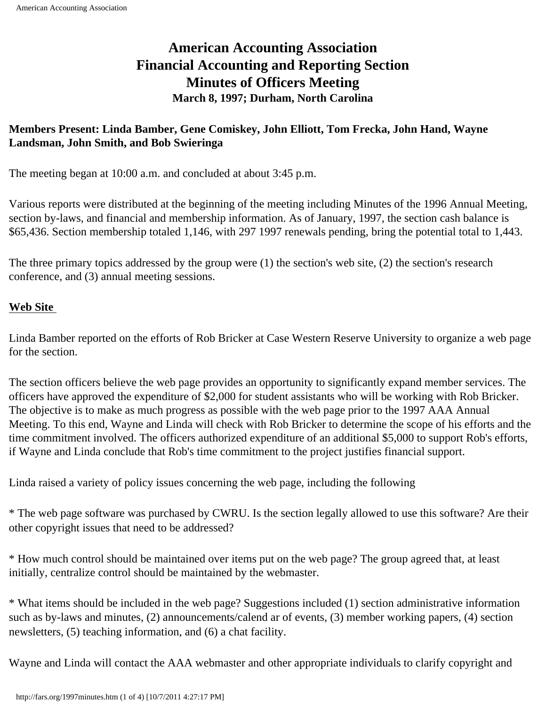# **American Accounting Association Financial Accounting and Reporting Section Minutes of Officers Meeting March 8, 1997; Durham, North Carolina**

## **Members Present: Linda Bamber, Gene Comiskey, John Elliott, Tom Frecka, John Hand, Wayne Landsman, John Smith, and Bob Swieringa**

The meeting began at 10:00 a.m. and concluded at about 3:45 p.m.

Various reports were distributed at the beginning of the meeting including Minutes of the 1996 Annual Meeting, section by-laws, and financial and membership information. As of January, 1997, the section cash balance is \$65,436. Section membership totaled 1,146, with 297 1997 renewals pending, bring the potential total to 1,443.

The three primary topics addressed by the group were (1) the section's web site, (2) the section's research conference, and (3) annual meeting sessions.

#### **Web Site**

Linda Bamber reported on the efforts of Rob Bricker at Case Western Reserve University to organize a web page for the section.

The section officers believe the web page provides an opportunity to significantly expand member services. The officers have approved the expenditure of \$2,000 for student assistants who will be working with Rob Bricker. The objective is to make as much progress as possible with the web page prior to the 1997 AAA Annual Meeting. To this end, Wayne and Linda will check with Rob Bricker to determine the scope of his efforts and the time commitment involved. The officers authorized expenditure of an additional \$5,000 to support Rob's efforts, if Wayne and Linda conclude that Rob's time commitment to the project justifies financial support.

Linda raised a variety of policy issues concerning the web page, including the following

\* The web page software was purchased by CWRU. Is the section legally allowed to use this software? Are their other copyright issues that need to be addressed?

\* How much control should be maintained over items put on the web page? The group agreed that, at least initially, centralize control should be maintained by the webmaster.

\* What items should be included in the web page? Suggestions included (1) section administrative information such as by-laws and minutes, (2) announcements/calend ar of events, (3) member working papers, (4) section newsletters, (5) teaching information, and (6) a chat facility.

Wayne and Linda will contact the AAA webmaster and other appropriate individuals to clarify copyright and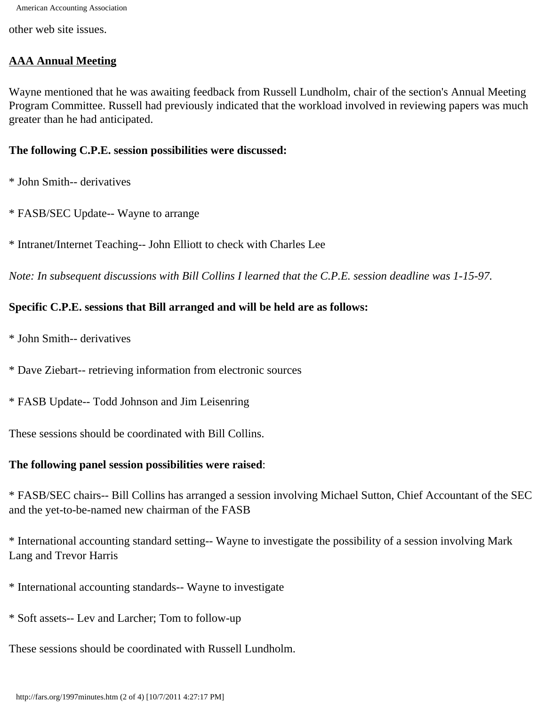American Accounting Association

other web site issues.

## **AAA Annual Meeting**

Wayne mentioned that he was awaiting feedback from Russell Lundholm, chair of the section's Annual Meeting Program Committee. Russell had previously indicated that the workload involved in reviewing papers was much greater than he had anticipated.

#### **The following C.P.E. session possibilities were discussed:**

\* John Smith-- derivatives

- \* FASB/SEC Update-- Wayne to arrange
- \* Intranet/Internet Teaching-- John Elliott to check with Charles Lee

*Note: In subsequent discussions with Bill Collins I learned that the C.P.E. session deadline was 1-15-97.*

## **Specific C.P.E. sessions that Bill arranged and will be held are as follows:**

- \* John Smith-- derivatives
- \* Dave Ziebart-- retrieving information from electronic sources
- \* FASB Update-- Todd Johnson and Jim Leisenring

These sessions should be coordinated with Bill Collins.

#### **The following panel session possibilities were raised**:

\* FASB/SEC chairs-- Bill Collins has arranged a session involving Michael Sutton, Chief Accountant of the SEC and the yet-to-be-named new chairman of the FASB

\* International accounting standard setting-- Wayne to investigate the possibility of a session involving Mark Lang and Trevor Harris

- \* International accounting standards-- Wayne to investigate
- \* Soft assets-- Lev and Larcher; Tom to follow-up
- These sessions should be coordinated with Russell Lundholm.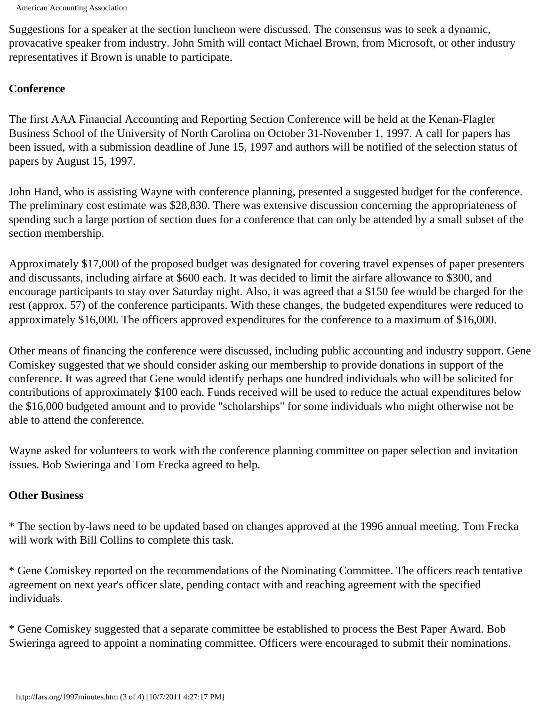Suggestions for a speaker at the section luncheon were discussed. The consensus was to seek a dynamic, provacative speaker from industry. John Smith will contact Michael Brown, from Microsoft, or other industry representatives if Brown is unable to participate.

## **Conference**

The first AAA Financial Accounting and Reporting Section Conference will be held at the Kenan-Flagler Business School of the University of North Carolina on October 31-November 1, 1997. A call for papers has been issued, with a submission deadline of June 15, 1997 and authors will be notified of the selection status of papers by August 15, 1997.

John Hand, who is assisting Wayne with conference planning, presented a suggested budget for the conference. The preliminary cost estimate was \$28,830. There was extensive discussion concerning the appropriateness of spending such a large portion of section dues for a conference that can only be attended by a small subset of the section membership.

Approximately \$17,000 of the proposed budget was designated for covering travel expenses of paper presenters and discussants, including airfare at \$600 each. It was decided to limit the airfare allowance to \$300, and encourage participants to stay over Saturday night. Also, it was agreed that a \$150 fee would be charged for the rest (approx. 57) of the conference participants. With these changes, the budgeted expenditures were reduced to approximately \$16,000. The officers approved expenditures for the conference to a maximum of \$16,000.

Other means of financing the conference were discussed, including public accounting and industry support. Gene Comiskey suggested that we should consider asking our membership to provide donations in support of the conference. It was agreed that Gene would identify perhaps one hundred individuals who will be solicited for contributions of approximately \$100 each. Funds received will be used to reduce the actual expenditures below the \$16,000 budgeted amount and to provide "scholarships" for some individuals who might otherwise not be able to attend the conference.

Wayne asked for volunteers to work with the conference planning committee on paper selection and invitation issues. Bob Swieringa and Tom Frecka agreed to help.

## **Other Business**

\* The section by-laws need to be updated based on changes approved at the 1996 annual meeting. Tom Frecka will work with Bill Collins to complete this task.

\* Gene Comiskey reported on the recommendations of the Nominating Committee. The officers reach tentative agreement on next year's officer slate, pending contact with and reaching agreement with the specified individuals.

\* Gene Comiskey suggested that a separate committee be established to process the Best Paper Award. Bob Swieringa agreed to appoint a nominating committee. Officers were encouraged to submit their nominations.